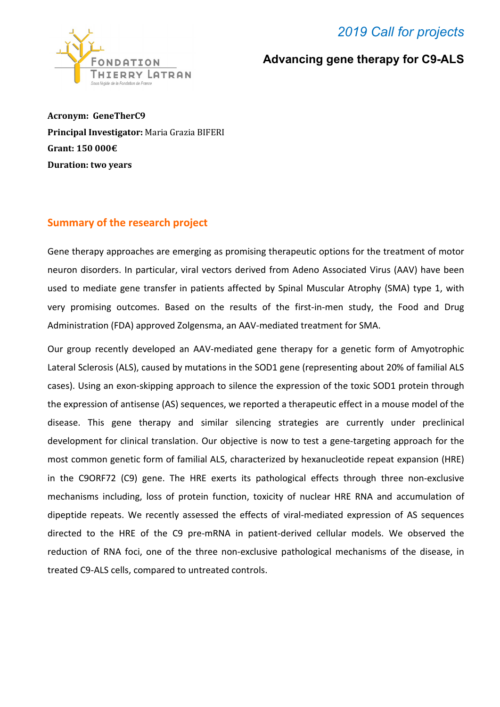## *2019 Call for projects*



#### **Advancing gene therapy for C9-ALS**

**Acronym: GeneTherC9 Principal Investigator:** Maria Grazia BIFERI **Grant: 150 000€ Duration: two years**

#### **Summary of the research project**

Gene therapy approaches are emerging as promising therapeutic options for the treatment of motor neuron disorders. In particular, viral vectors derived from Adeno Associated Virus (AAV) have been used to mediate gene transfer in patients affected by Spinal Muscular Atrophy (SMA) type 1, with very promising outcomes. Based on the results of the first-in-men study, the Food and Drug Administration (FDA) approved Zolgensma, an AAV-mediated treatment for SMA.

Our group recently developed an AAV-mediated gene therapy for a genetic form of Amyotrophic Lateral Sclerosis (ALS), caused by mutations in the SOD1 gene (representing about 20% of familial ALS cases). Using an exon-skipping approach to silence the expression of the toxic SOD1 protein through the expression of antisense (AS) sequences, we reported a therapeutic effect in a mouse model of the disease. This gene therapy and similar silencing strategies are currently under preclinical development for clinical translation. Our objective is now to test a gene-targeting approach for the most common genetic form of familial ALS, characterized by hexanucleotide repeat expansion (HRE) in the C9ORF72 (C9) gene. The HRE exerts its pathological effects through three non-exclusive mechanisms including, loss of protein function, toxicity of nuclear HRE RNA and accumulation of dipeptide repeats. We recently assessed the effects of viral-mediated expression of AS sequences directed to the HRE of the C9 pre-mRNA in patient-derived cellular models. We observed the reduction of RNA foci, one of the three non-exclusive pathological mechanisms of the disease, in treated C9-ALS cells, compared to untreated controls.